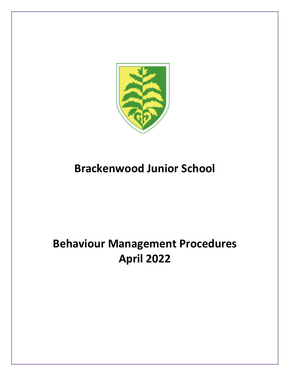

# **Brackenwood Junior School**

# **Behaviour Management Procedures April 2022**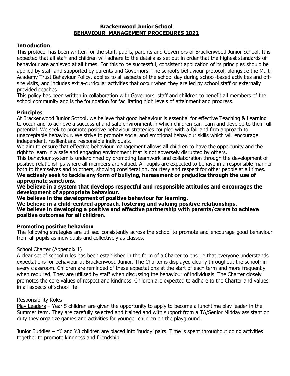#### **Brackenwood Junior School BEHAVIOUR MANAGEMENT PROCEDURES 2022**

#### **Introduction**

This protocol has been written for the staff, pupils, parents and Governors of Brackenwood Junior School. It is expected that all staff and children will adhere to the details as set out in order that the highest standards of behaviour are achieved at all times. For this to be successful, consistent application of its principles should be applied by staff and supported by parents and Governors. The school's behaviour protocol, alongside the Multi-Academy Trust Behaviour Policy, applies to all aspects of the school day during school-based activities and offsite visits, and includes extra-curricular activities that occur when they are led by school staff or externally provided coaches.

This policy has been written in collaboration with Governors, staff and children to benefit all members of the school community and is the foundation for facilitating high levels of attainment and progress.

#### **Principles**

At Brackenwood Junior School, we believe that good behaviour is essential for effective Teaching & Learning to occur and to achieve a successful and safe environment in which children can learn and develop to their full potential. We seek to promote positive behaviour strategies coupled with a fair and firm approach to unacceptable behaviour. We strive to promote social and emotional behaviour skills which will encourage independent, resilient and responsible individuals.

We aim to ensure that effective behaviour management allows all children to have the opportunity and the right to learn in a safe and engaging environment that is not adversely disrupted by others.

This behaviour system is underpinned by promoting teamwork and collaboration through the development of positive relationships where all members are valued. All pupils are expected to behave in a responsible manner both to themselves and to others, showing consideration, courtesy and respect for other people at all times. **We actively seek to tackle any form of bullying, harassment or prejudice through the use of appropriate sanctions.**

**We believe in a system that develops respectful and responsible attitudes and encourages the development of appropriate behaviour.** 

**We believe in the development of positive behaviour for learning.**

**We believe in a child-centred approach, fostering and valuing positive relationships. We believe in developing a positive and effective partnership with parents/carers to achieve positive outcomes for all children.**

#### **Promoting positive behaviour**

The following strategies are utilised consistently across the school to promote and encourage good behaviour from all pupils as individuals and collectively as classes.

#### School Charter (Appendix 1)

A clear set of school rules has been established in the form of a Charter to ensure that everyone understands expectations for behaviour at Brackenwood Junior. The Charter is displayed clearly throughout the school; in every classroom. Children are reminded of these expectations at the start of each term and more frequently when required. They are utilised by staff when discussing the behaviour of individuals. The Charter closely promotes the core values of respect and kindness. Children are expected to adhere to the Charter and values in all aspects of school life.

#### Responsibility Roles

Play Leaders – Year 5 children are given the opportunity to apply to become a lunchtime play leader in the Summer term. They are carefully selected and trained and with support from a TA/Senior Midday assistant on duty they organize games and activities for younger children on the playground.

Junior Buddies – Y6 and Y3 children are placed into 'buddy' pairs. Time is spent throughout doing activities together to promote kindness and friendship.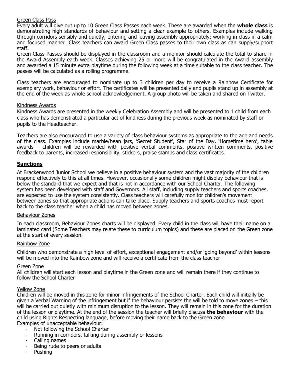#### Green Class Pass

Every adult will give out up to 10 Green Class Passes each week. These are awarded when the **whole class** is demonstrating high standards of behaviour and setting a clear example to others. Examples include walking through corridors sensibly and quietly; entering and leaving assembly appropriately; working in class in a calm and focused manner. Class teachers can award Green Class passes to their own class as can supply/support staff.

Green Class Passes should be displayed in the classroom and a monitor should calculate the total to share in the Award Assembly each week. Classes achieving 25 or more will be congratulated in the Award assembly and awarded a 15 minute extra playtime during the following week at a time suitable to the class teacher. The passes will be calculated as a rolling programme.

Class teachers are encouraged to nominate up to 3 children per day to receive a Rainbow Certificate for exemplary work, behaviour or effort. The certificates will be presented daily and pupils stand up in assembly at the end of the week as whole school acknowledgement. A group photo will be taken and shared on Twitter.

#### Kindness Awards

Kindness Awards are presented in the weekly Celebration Assembly and will be presented to 1 child from each class who has demonstrated a particular act of kindness during the previous week as nominated by staff or pupils to the Headteacher.

Teachers are also encouraged to use a variety of class behaviour systems as appropriate to the age and needs of the class. Examples include marble/bean jars, 'Secret Student', Star of the Day, 'Hometime hero', table awards – children will be rewarded with positive verbal comments, positive written comments, positive feedback to parents, increased responsibility, stickers, praise stamps and class certificates.

#### **Sanctions**

At Brackenwood Junior School we believe in a positive behaviour system and the vast majority of the children respond effectively to this at all times. However, occasionally some children might display behaviour that is below the standard that we expect and that is not in accordance with our School Charter. The following system has been developed with staff and Governors. All staff, including supply teachers and sports coaches, are expected to use the system consistently. Class teachers will carefully monitor children's movement between zones so that appropriate actions can take place. Supply teachers and sports coaches must report back to the class teacher when a child has moved between zones.

#### Behaviour Zones

In each classroom, Behaviour Zones charts will be displayed. Every child in the class will have their name on a laminated card (Some Teachers may relate these to curriculum topics) and these are placed on the Green zone at the start of every session.

#### Rainbow Zone

Children who demonstrate a high level of effort, exceptional engagement and/or 'going beyond' within lessons will be moved into the Rainbow zone and will receive a certificate from the class teacher

#### Green Zone

All children will start each lesson and playtime in the Green zone and will remain there if they continue to follow the School Charter

#### Yellow Zone

Children will be moved in this zone for minor infringements of the School Charter. Each child will initially be given a Verbal Warning of the infringement but if the behaviour persists the will be told to move zones – this will be carried out quietly with minimum disruption to the lesson. They will remain in this zone for the duration of the lesson or playtime. At the end of the session the teacher will briefly discuss **the behaviour** with the child using Rights Respecting language, before moving their name back to the Green zone. Examples of unacceptable behaviour:

- Not following the School Charter
- Running in corridors, talking during assembly or lessons
- Calling names
- Being rude to peers or adults
- Pushing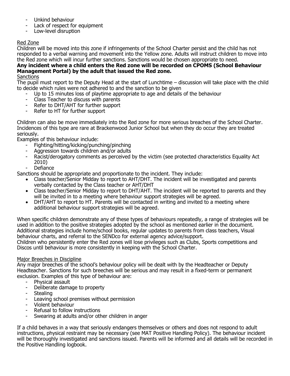- Unkind behaviour
- Lack of respect for equipment
- Low-level disruption

#### Red Zone

Children will be moved into this zone if infringements of the School Charter persist and the child has not responded to a verbal warning and movement into the Yellow zone. Adults will instruct children to move into the Red zone which will incur further sanctions. Sanctions would be chosen appropriate to need.

#### **Any incident where a child enters the Red zone will be recorded on CPOMS (School Behaviour Management Portal) by the adult that issued the Red zone.**

#### **Sanctions**

The pupil must report to the Deputy Head at the start of Lunchtime – discussion will take place with the child to decide which rules were not adhered to and the sanction to be given

- Up to 15 minutes loss of playtime appropriate to age and details of the behaviour
- Class Teacher to discuss with parents
- Refer to DHT/AHT for further support
- Refer to HT for further support

Children can also be move immediately into the Red zone for more serious breaches of the School Charter. Incidences of this type are rare at Brackenwood Junior School but when they do occur they are treated seriously.

Examples of this behaviour include:

- Fighting/hitting/kicking/punching/pinching
- Aggression towards children and/or adults
- Racist/derogatory comments as perceived by the victim (see protected characteristics Equality Act 2010)
- Defiance

Sanctions should be appropriate and proportionate to the incident. They include:

- Class teacher/Senior Midday to report to AHT/DHT. The incident will be investigated and parents verbally contacted by the Class teacher or AHT/DHT
- Class teacher/Senior Midday to report to DHT/AHT. The incident will be reported to parents and they will be invited in to a meeting where behaviour support strategies will be agreed.
- DHT/AHT to report to HT. Parents will be contacted in writing and invited to a meeting where additional behaviour support strategies will be agreed.

When specific children demonstrate any of these types of behaviours repeatedly, a range of strategies will be used in addition to the positive strategies adopted by the school as mentioned earlier in the document. Additional strategies include home/school books, regular updates to parents from class teachers, Visual behaviour charts, and referral to the SENDco for external agency advice/support.

Children who persistently enter the Red zones will lose privileges such as Clubs, Sports competitions and Discos until behaviour is more consistently in keeping with the School Charter.

#### Major Breeches in Discipline

Any major breeches of the school's behaviour policy will be dealt with by the Headteacher or Deputy Headteacher. Sanctions for such breeches will be serious and may result in a fixed-term or permanent exclusion. Examples of this type of behaviour are:

- Physical assault
- Deliberate damage to property
- **Stealing**
- Leaving school premises without permission
- Violent behaviour
- Refusal to follow instructions
- Swearing at adults and/or other children in anger

If a child behaves in a way that seriously endangers themselves or others and does not respond to adult instructions, physical restraint may be necessary (see MAT Positive Handling Policy). The behaviour incident will be thoroughly investigated and sanctions issued. Parents will be informed and all details will be recorded in the Positive Handling logbook.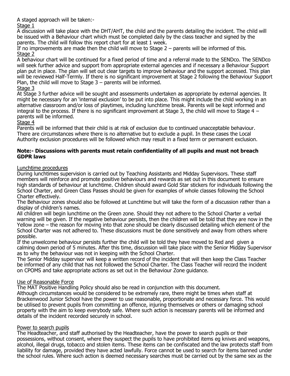A staged approach will be taken:-

#### Stage 1

A discussion will take place with the DHT/AHT, the child and the parents detailing the incident. The child will be issued with a Behaviour chart which must be completed daily by the class teacher and signed by the parents. The child will follow this report chart for at least 1 week.

If no improvements are made then the child will move to Stage 2 – parents will be informed of this. Stage 2

A behaviour chart will be continued for a fixed period of time and a referral made to the SENDco. The SENDco will seek further advice and support from appropriate external agencies and if necessary a Behaviour Support plan put in place. The plan will set out clear targets to improve behaviour and the support accessed. This plan will be reviewed Half-Termly. If there is no significant improvement at Stage 2 following the Behaviour Support Plan, the child will move to Stage 3 – parents will be informed.

#### Stage 3

At Stage 3 further advice will be sought and assessments undertaken as appropriate by external agencies. It might be necessary for an 'internal exclusion' to be put into place. This might include the child working in an alternative classroom and/or loss of playtimes, including lunchtime break. Parents will be kept informed and integral to the process. If there is no significant improvement at Stage 3, the child will move to Stage 4 – parents will be informed.

#### Stage 4

Parents will be informed that their child is at risk of exclusion due to continued unacceptable behaviour. There are circumstances where there is no alternative but to exclude a pupil. In these cases the Local Authority exclusion procedures will be followed which may result in a fixed term or permanent exclusion.

#### **Note:- Discussions with parents must retain confidentiality of all pupils and must not breach GDPR laws**

#### Lunchtime procedures

During lunchtimes supervision is carried out by Teaching Assistants and Midday Supervisors. These staff members will reinforce and promote positive behaviours and rewards as set out in this document to ensure high standards of behaviour at lunchtime. Children should award Gold Star stickers for individuals following the School Charter, and Green Class Passes should be given for examples of whole classes following the School Charter effectively.

The Behaviour zones should also be followed at Lunchtime but will take the form of a discussion rather than a display of children's names.

All children will begin lunchtime on the Green zone. Should they not adhere to the School Charter a verbal warning will be given. If the negative behaviour persists, then the children will be told that they are now in the Yellow zone – the reason for moving into that zone should be clearly discussed detailing which element of the School Charter was not adhered to. These discussions must be done sensitively and away from others where possible.

If the unwelcome behaviour persists further the child will be told they have moved to Red and given a calming down period of 5 minutes. After this time, discussion will take place with the Senior Midday Supervisor as to why the behaviour was not in keeping with the School Charter.

The Senior Midday supervisor will keep a written record of the incident that will then keep the Class Teacher be informed of any child that has not followed the School Charter. The Class Teacher will record the incident on CPOMS and take appropriate actions as set out in the Behaviour Zone guidance.

#### Use of Reasonable Force

The MAT Positive Handling Policy should also be read in conjunction with this document. Although circumstances would be considered to be extremely rare, there might be times when staff at Brackenwood Junior School have the power to use reasonable, proportionate and necessary force. This would

be utilised to prevent pupils from committing an offence, injuring themselves or others or damaging school property with the aim to keep everybody safe. Where such action is necessary parents will be informed and details of the incident recorded securely in school.

#### Power to search pupils

The Headteacher, and staff authorised by the Headteacher, have the power to search pupils or their possessions, without consent, where they suspect the pupils to have prohibited items eg knives and weapons, alcohol, illegal drugs, tobacco and stolen items. These items can be confiscated and the law protects staff from liability for damage, provided they have acted lawfully. Force cannot be used to search for items banned under the school rules. Where such action is deemed necessary searches must be carried out by the same sex as the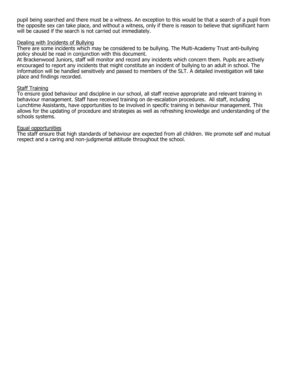pupil being searched and there must be a witness. An exception to this would be that a search of a pupil from the opposite sex can take place, and without a witness, only if there is reason to believe that significant harm will be caused if the search is not carried out immediately.

#### Dealing with Incidents of Bullying

There are some incidents which may be considered to be bullying. The Multi-Academy Trust anti-bullying policy should be read in conjunction with this document.

At Brackenwood Juniors, staff will monitor and record any incidents which concern them. Pupils are actively encouraged to report any incidents that might constitute an incident of bullying to an adult in school. The information will be handled sensitively and passed to members of the SLT. A detailed investigation will take place and findings recorded.

#### Staff Training

To ensure good behaviour and discipline in our school, all staff receive appropriate and relevant training in behaviour management. Staff have received training on de-escalation procedures. All staff, including Lunchtime Assistants, have opportunities to be involved in specific training in behaviour management. This allows for the updating of procedure and strategies as well as refreshing knowledge and understanding of the schools systems.

#### Equal opportunities

The staff ensure that high standards of behaviour are expected from all children. We promote self and mutual respect and a caring and non-judgmental attitude throughout the school.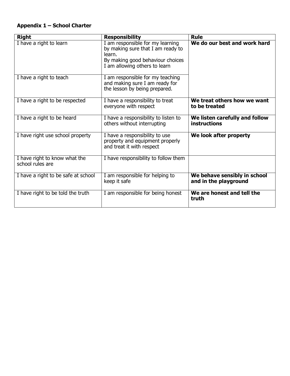#### **Appendix 1 – School Charter**

| <b>Right</b>                                      | <b>Responsibility</b>                                                                                                                                | <b>Rule</b>                                           |
|---------------------------------------------------|------------------------------------------------------------------------------------------------------------------------------------------------------|-------------------------------------------------------|
| I have a right to learn                           | I am responsible for my learning<br>by making sure that I am ready to<br>learn.<br>By making good behaviour choices<br>I am allowing others to learn | We do our best and work hard                          |
| I have a right to teach                           | I am responsible for my teaching<br>and making sure I am ready for<br>the lesson by being prepared.                                                  |                                                       |
| I have a right to be respected                    | I have a responsibility to treat<br>everyone with respect                                                                                            | We treat others how we want<br>to be treated          |
| I have a right to be heard                        | I have a responsibility to listen to<br>others without interrupting                                                                                  | We listen carefully and follow<br><b>instructions</b> |
| I have right use school property                  | I have a responsibility to use<br>property and equipment properly<br>and treat it with respect                                                       | We look after property                                |
| I have right to know what the<br>school rules are | I have responsibility to follow them                                                                                                                 |                                                       |
| I have a right to be safe at school               | I am responsible for helping to<br>keep it safe                                                                                                      | We behave sensibly in school<br>and in the playground |
| I have right to be told the truth                 | I am responsible for being honest                                                                                                                    | We are honest and tell the<br>truth                   |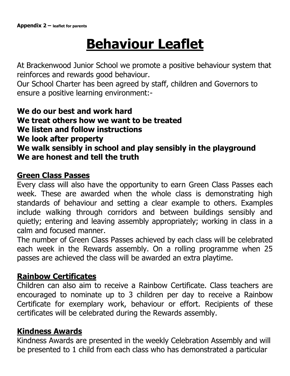# **Behaviour Leaflet**

At Brackenwood Junior School we promote a positive behaviour system that reinforces and rewards good behaviour.

Our School Charter has been agreed by staff, children and Governors to ensure a positive learning environment:-

## **We do our best and work hard We treat others how we want to be treated We listen and follow instructions We look after property We walk sensibly in school and play sensibly in the playground We are honest and tell the truth**

## **Green Class Passes**

Every class will also have the opportunity to earn Green Class Passes each week. These are awarded when the whole class is demonstrating high standards of behaviour and setting a clear example to others. Examples include walking through corridors and between buildings sensibly and quietly; entering and leaving assembly appropriately; working in class in a calm and focused manner.

The number of Green Class Passes achieved by each class will be celebrated each week in the Rewards assembly. On a rolling programme when 25 passes are achieved the class will be awarded an extra playtime.

## **Rainbow Certificates**

Children can also aim to receive a Rainbow Certificate. Class teachers are encouraged to nominate up to 3 children per day to receive a Rainbow Certificate for exemplary work, behaviour or effort. Recipients of these certificates will be celebrated during the Rewards assembly.

## **Kindness Awards**

Kindness Awards are presented in the weekly Celebration Assembly and will be presented to 1 child from each class who has demonstrated a particular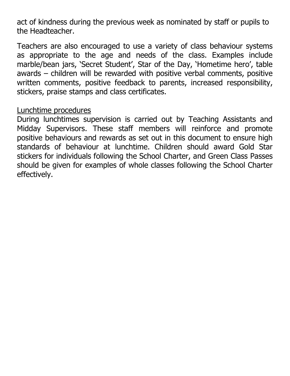act of kindness during the previous week as nominated by staff or pupils to the Headteacher.

Teachers are also encouraged to use a variety of class behaviour systems as appropriate to the age and needs of the class. Examples include marble/bean jars, 'Secret Student', Star of the Day, 'Hometime hero', table awards – children will be rewarded with positive verbal comments, positive written comments, positive feedback to parents, increased responsibility, stickers, praise stamps and class certificates.

### Lunchtime procedures

During lunchtimes supervision is carried out by Teaching Assistants and Midday Supervisors. These staff members will reinforce and promote positive behaviours and rewards as set out in this document to ensure high standards of behaviour at lunchtime. Children should award Gold Star stickers for individuals following the School Charter, and Green Class Passes should be given for examples of whole classes following the School Charter effectively.